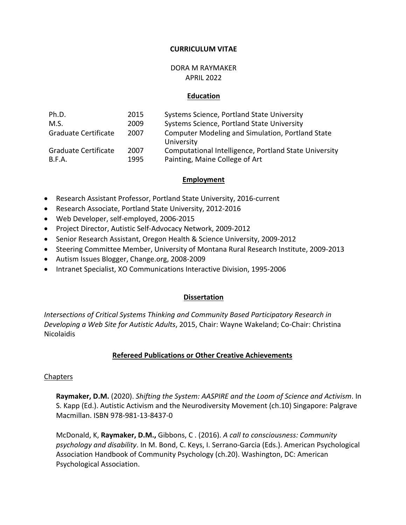### **CURRICULUM VITAE**

#### DORA M RAYMAKER APRIL 2022

#### **Education**

| Ph.D.                | 2015 | Systems Science, Portland State University                            |
|----------------------|------|-----------------------------------------------------------------------|
| M.S.                 | 2009 | Systems Science, Portland State University                            |
| Graduate Certificate | 2007 | <b>Computer Modeling and Simulation, Portland State</b><br>University |
| Graduate Certificate | 2007 | Computational Intelligence, Portland State University                 |
| B.F.A.               | 1995 | Painting, Maine College of Art                                        |

#### **Employment**

- Research Assistant Professor, Portland State University, 2016-current
- Research Associate, Portland State University, 2012-2016
- Web Developer, self-employed, 2006-2015
- Project Director, Autistic Self-Advocacy Network, 2009-2012
- Senior Research Assistant, Oregon Health & Science University, 2009-2012
- Steering Committee Member, University of Montana Rural Research Institute, 2009-2013
- Autism Issues Blogger, Change.org, 2008-2009
- Intranet Specialist, XO Communications Interactive Division, 1995-2006

#### **Dissertation**

*Intersections of Critical Systems Thinking and Community Based Participatory Research in Developing a Web Site for Autistic Adults*, 2015, Chair: Wayne Wakeland; Co-Chair: Christina Nicolaidis

### **Refereed Publications or Other Creative Achievements**

#### Chapters

**Raymaker, D.M.** (2020). *Shifting the System: AASPIRE and the Loom of Science and Activism*. In S. Kapp (Ed.). Autistic Activism and the Neurodiversity Movement (ch.10) Singapore: Palgrave Macmillan. ISBN 978-981-13-8437-0

McDonald, K, **Raymaker, D.M.,** Gibbons, C . (2016). *A call to consciousness: Community psychology and disability*. In M. Bond, C. Keys, I. Serrano-Garcia (Eds.). American Psychological Association Handbook of Community Psychology (ch.20). Washington, DC: American Psychological Association.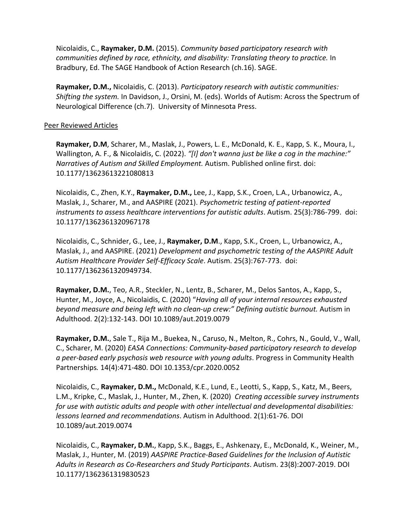Nicolaidis, C., **Raymaker, D.M.** (2015). *Community based participatory research with communities defined by race, ethnicity, and disability: Translating theory to practice.* In Bradbury, Ed. The SAGE Handbook of Action Research (ch.16). SAGE.

**Raymaker, D.M.,** Nicolaidis, C. (2013). *Participatory research with autistic communities: Shifting the system.* In Davidson, J., Orsini, M. (eds). Worlds of Autism: Across the Spectrum of Neurological Difference (ch.7). University of Minnesota Press.

## Peer Reviewed Articles

**Raymaker, D.M**, Scharer, M., Maslak, J., Powers, L. E., McDonald, K. E., Kapp, S. K., Moura, I., Wallington, A. F., & Nicolaidis, C. (2022). *"[I] don't wanna just be like a cog in the machine:" Narratives of Autism and Skilled Employment.* Autism. Published online first. doi: 10.1177/13623613221080813

Nicolaidis, C., Zhen, K.Y., **Raymaker, D.M.,** Lee, J., Kapp, S.K., Croen, L.A., Urbanowicz, A., Maslak, J., Scharer, M., and AASPIRE (2021). *Psychometric testing of patient-reported instruments to assess healthcare interventions for autistic adults*. Autism. 25(3):786-799. doi: 10.1177/1362361320967178

Nicolaidis, C., Schnider, G., Lee, J., **Raymaker, D.M**., Kapp, S.K., Croen, L., Urbanowicz, A., Maslak, J., and AASPIRE. (2021) *Development and psychometric testing of the AASPIRE Adult Autism Healthcare Provider Self-Efficacy Scale*. Autism. 25(3):767-773. doi: 10.1177/1362361320949734.

**Raymaker, D.M.**, Teo, A.R., Steckler, N., Lentz, B., Scharer, M., Delos Santos, A., Kapp, S., Hunter, M., Joyce, A., Nicolaidis, C. (2020) "*Having all of your internal resources exhausted beyond measure and being left with no clean-up crew:" Defining autistic burnout.* Autism in Adulthood. 2(2):132-143. DOI 10.1089/aut.2019.0079

**Raymaker, D.M.**, Sale T., Rija M., Buekea, N., Caruso, N., Melton, R., Cohrs, N., Gould, V., Wall, C., Scharer, M. (2020) *EASA Connections: Community-based participatory research to develop a peer-based early psychosis web resource with young adults*. Progress in Community Health Partnerships*.* 14(4):471-480. DOI 10.1353/cpr.2020.0052

Nicolaidis, C., **Raymaker, D.M.,** McDonald, K.E., Lund, E., Leotti, S., Kapp, S., Katz, M., Beers, L.M., Kripke, C., Maslak, J., Hunter, M., Zhen, K. (2020) *Creating accessible survey instruments for use with autistic adults and people with other intellectual and developmental disabilities: lessons learned and recommendations*. Autism in Adulthood. 2(1):61-76. DOI 10.1089/aut.2019.0074

Nicolaidis, C., **Raymaker, D.M.**, Kapp, S.K., Baggs, E., Ashkenazy, E., McDonald, K., Weiner, M., Maslak, J., Hunter, M. (2019) *AASPIRE Practice-Based Guidelines for the Inclusion of Autistic Adults in Research as Co-Researchers and Study Participants*. Autism. 23(8):2007-2019. DOI 10.1177/1362361319830523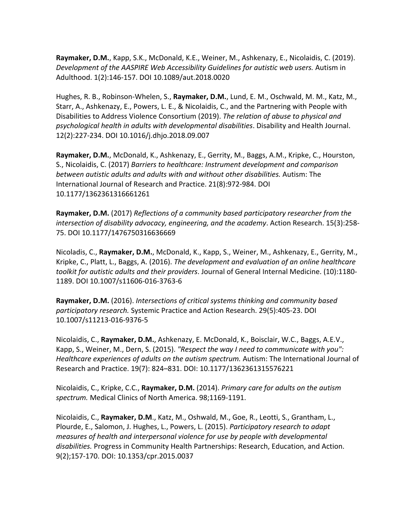**Raymaker, D.M.**, Kapp, S.K., McDonald, K.E., Weiner, M., Ashkenazy, E., Nicolaidis, C. (2019). *Development of the AASPIRE Web Accessibility Guidelines for autistic web users.* Autism in Adulthood. 1(2):146-157. DOI 10.1089/aut.2018.0020

Hughes, R. B., Robinson-Whelen, S., **Raymaker, D.M.**, Lund, E. M., Oschwald, M. M., Katz, M., Starr, A., Ashkenazy, E., Powers, L. E., & Nicolaidis, C., and the Partnering with People with Disabilities to Address Violence Consortium (2019). *The relation of abuse to physical and psychological health in adults with developmental disabilities*. Disability and Health Journal. 12(2):227-234. DOI 10.1016/j.dhjo.2018.09.007

**Raymaker, D.M.**, McDonald, K., Ashkenazy, E., Gerrity, M., Baggs, A.M., Kripke, C., Hourston, S., Nicolaidis, C. (2017) *Barriers to healthcare: Instrument development and comparison between autistic adults and adults with and without other disabilities.* Autism: The International Journal of Research and Practice. 21(8):972-984. DOI 10.1177/1362361316661261

**Raymaker, D.M.** (2017) *Reflections of a community based participatory researcher from the intersection of disability advocacy, engineering, and the academy*. Action Research. 15(3):258- 75. DOI 10.1177/1476750316636669

Nicoladis, C., **Raymaker, D.M.**, McDonald, K., Kapp, S., Weiner, M., Ashkenazy, E., Gerrity, M., Kripke, C., Platt, L., Baggs, A. (2016). *The development and evaluation of an online healthcare toolkit for autistic adults and their providers*. Journal of General Internal Medicine. (10):1180- 1189. DOI 10.1007/s11606-016-3763-6

**Raymaker, D.M.** (2016). *Intersections of critical systems thinking and community based participatory research.* Systemic Practice and Action Research. 29(5):405-23. DOI 10.1007/s11213-016-9376-5

Nicolaidis, C., **Raymaker, D.M.**, Ashkenazy, E. McDonald, K., Boisclair, W.C., Baggs, A.E.V., Kapp, S., Weiner, M., Dern, S. (2015). *"Respect the way I need to communicate with you": Healthcare experiences of adults on the autism spectrum.* Autism: The International Journal of Research and Practice. 19(7): 824–831. DOI: 10.1177/1362361315576221

Nicolaidis, C., Kripke, C.C., **Raymaker, D.M.** (2014). *Primary care for adults on the autism spectrum.* Medical Clinics of North America. 98;1169-1191.

Nicolaidis, C., **Raymaker, D.M**., Katz, M., Oshwald, M., Goe, R., Leotti, S., Grantham, L., Plourde, E., Salomon, J. Hughes, L., Powers, L. (2015). *Participatory research to adapt measures of health and interpersonal violence for use by people with developmental disabilities.* Progress in Community Health Partnerships: Research, Education, and Action. 9(2);157-170. DOI: 10.1353/cpr.2015.0037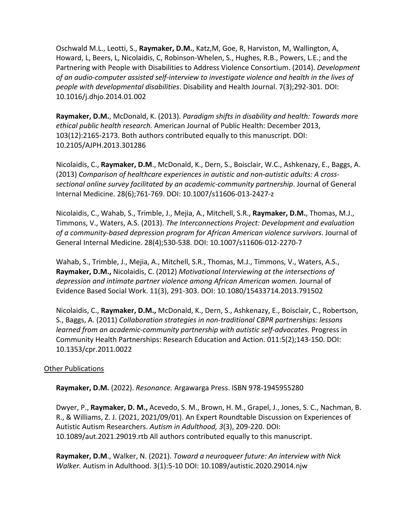Oschwald M.L., Leotti, S., **Raymaker, D.M.**, Katz,M, Goe, R, Harviston, M, Wallington, A, Howard, L, Beers, L, Nicolaidis, C, Robinson-Whelen, S., Hughes, R.B., Powers, L.E.; and the Partnering with People with Disabilities to Address Violence Consortium. (2014). *Development of an audio-computer assisted self-interview to investigate violence and health in the lives of people with developmental disabilities*. Disability and Health Journal. 7(3);292-301. DOI: 10.1016/j.dhjo.2014.01.002

**Raymaker, D.M.**, McDonald, K. (2013). *Paradigm shifts in disability and health: Towards more ethical public health research.* American Journal of Public Health: December 2013, 103(12):2165-2173. Both authors contributed equally to this manuscript. DOI: 10.2105/AJPH.2013.301286

Nicolaidis, C., **Raymaker, D.M**., McDonald, K., Dern, S., Boisclair, W.C., Ashkenazy, E., Baggs, A. (2013) *Comparison of healthcare experiences in autistic and non-autistic adults: A crosssectional online survey facilitated by an academic-community partnership*. Journal of General Internal Medicine. 28(6);761-769. DOI: 10.1007/s11606-013-2427-z

Nicolaidis, C., Wahab, S., Trimble, J., Mejia, A., Mitchell, S.R., **Raymaker, D.M.**, Thomas, M.J., Timmons, V., Waters, A.S. (2013). *The Interconnections Project: Development and evaluation of a community-based depression program for African American violence survivors*. Journal of General Internal Medicine. 28(4);530-538. DOI: 10.1007/s11606-012-2270-7

Wahab, S., Trimble, J., Mejia, A., Mitchell, S.R., Thomas, M.J., Timmons, V., Waters, A.S., **Raymaker, D.M.,** Nicolaidis, C. (2012) *Motivational Interviewing at the intersections of depression and intimate partner violence among African American women.* Journal of Evidence Based Social Work. 11(3), 291-303. DOI: 10.1080/15433714.2013.791502

Nicolaidis, C., **Raymaker, D.M.,** McDonald, K., Dern, S., Ashkenazy, E., Boisclair, C., Robertson, S., Baggs, A. (2011) *Collaboration strategies in non-traditional CBPR partnerships: lessons learned from an academic-community partnership with autistic self-advocates.* Progress in Community Health Partnerships: Research Education and Action. 011:5(2);143-150. DOI: 10.1353/cpr.2011.0022

### Other Publications

**Raymaker, D.M.** (2022). *Resonance.* Argawarga Press. ISBN 978-1945955280

Dwyer, P., **Raymaker, D. M.,** Acevedo, S. M., Brown, H. M., Grapel, J., Jones, S. C., Nachman, B. R., & Williams, Z. J. (2021, 2021/09/01). An Expert Roundtable Discussion on Experiences of Autistic Autism Researchers. *Autism in Adulthood, 3*(3), 209-220. DOI: 10.1089/aut.2021.29019.rtb All authors contributed equally to this manuscript.

**Raymaker, D.M**., Walker, N. (2021). *Toward a neuroqueer future: An interview with Nick Walker.* Autism in Adulthood. 3(1):5-10 DOI: 10.1089/autistic.2020.29014.njw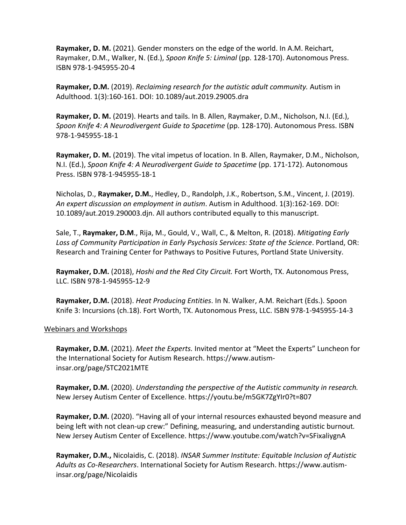**Raymaker, D. M.** (2021). Gender monsters on the edge of the world. In A.M. Reichart, Raymaker, D.M., Walker, N. (Ed.), *Spoon Knife 5: Liminal* (pp. 128-170). Autonomous Press. ISBN 978-1-945955-20-4

**Raymaker, D.M.** (2019). *Reclaiming research for the autistic adult community.* Autism in Adulthood. 1(3):160-161. DOI: 10.1089/aut.2019.29005.dra

**Raymaker, D. M.** (2019). Hearts and tails. In B. Allen, Raymaker, D.M., Nicholson, N.I. (Ed.), *Spoon Knife 4: A Neurodivergent Guide to Spacetime* (pp. 128-170). Autonomous Press. ISBN 978-1-945955-18-1

**Raymaker, D. M.** (2019). The vital impetus of location. In B. Allen, Raymaker, D.M., Nicholson, N.I. (Ed.), *Spoon Knife 4: A Neurodivergent Guide to Spacetime* (pp. 171-172). Autonomous Press. ISBN 978-1-945955-18-1

Nicholas, D., **Raymaker, D.M.**, Hedley, D., Randolph, J.K., Robertson, S.M., Vincent, J. (2019). *An expert discussion on employment in autism*. Autism in Adulthood. 1(3):162-169. DOI: 10.1089/aut.2019.290003.djn. All authors contributed equally to this manuscript.

Sale, T., **Raymaker, D.M**., Rija, M., Gould, V., Wall, C., & Melton, R. (2018). *Mitigating Early Loss of Community Participation in Early Psychosis Services: State of the Science*. Portland, OR: Research and Training Center for Pathways to Positive Futures, Portland State University.

**Raymaker, D.M.** (2018), *Hoshi and the Red City Circuit.* Fort Worth, TX. Autonomous Press, LLC. ISBN 978-1-945955-12-9

**Raymaker, D.M.** (2018). *Heat Producing Entities*. In N. Walker, A.M. Reichart (Eds.). Spoon Knife 3: Incursions (ch.18). Fort Worth, TX. Autonomous Press, LLC. ISBN 978-1-945955-14-3

### Webinars and Workshops

**Raymaker, D.M.** (2021). *Meet the Experts.* Invited mentor at "Meet the Experts" Luncheon for the International Society for Autism Research. https://www.autisminsar.org/page/STC2021MTE

**Raymaker, D.M.** (2020). *Understanding the perspective of the Autistic community in research.*  New Jersey Autism Center of Excellence. https://youtu.be/m5GK7ZgYIr0?t=807

**Raymaker, D.M.** (2020). "Having all of your internal resources exhausted beyond measure and being left with not clean-up crew:" Defining, measuring, and understanding autistic burnout*.*  New Jersey Autism Center of Excellence. https://www.youtube.com/watch?v=SFixaliygnA

**Raymaker, D.M.,** Nicolaidis, C. (2018). *INSAR Summer Institute: Equitable Inclusion of Autistic Adults as Co-Researchers*. International Society for Autism Research. https://www.autisminsar.org/page/Nicolaidis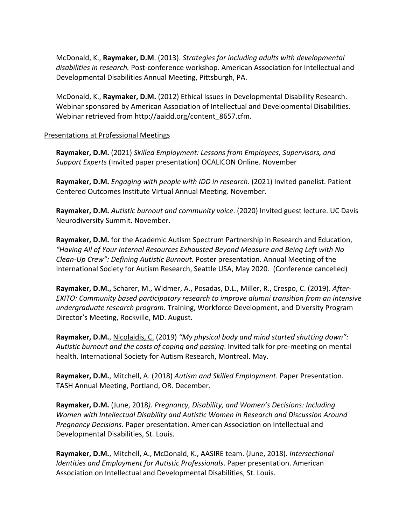McDonald, K., **Raymaker, D.M**. (2013). *Strategies for including adults with developmental disabilities in research.* Post-conference workshop. American Association for Intellectual and Developmental Disabilities Annual Meeting, Pittsburgh, PA.

McDonald, K., **Raymaker, D.M.** (2012) Ethical Issues in Developmental Disability Research. Webinar sponsored by American Association of Intellectual and Developmental Disabilities. Webinar retrieved from http://aaidd.org/content\_8657.cfm.

## Presentations at Professional Meetings

**Raymaker, D.M.** (2021) *Skilled Employment: Lessons from Employees, Supervisors, and Support Experts* (Invited paper presentation) OCALICON Online. November

**Raymaker, D.M.** *Engaging with people with IDD in research.* (2021) Invited panelist. Patient Centered Outcomes Institute Virtual Annual Meeting. November.

**Raymaker, D.M.** *Autistic burnout and community voice*. (2020) Invited guest lecture. UC Davis Neurodiversity Summit. November.

**Raymaker, D.M.** for the Academic Autism Spectrum Partnership in Research and Education, *"Having All of Your Internal Resources Exhausted Beyond Measure and Being Left with No Clean-Up Crew": Defining Autistic Burnout.* Poster presentation. Annual Meeting of the International Society for Autism Research, Seattle USA, May 2020. (Conference cancelled)

**Raymaker, D.M.,** Scharer, M., Widmer, A., Posadas, D.L., Miller, R., Crespo, C. (2019). *After-EXITO: Community based participatory research to improve alumni transition from an intensive undergraduate research program.* Training, Workforce Development, and Diversity Program Director's Meeting, Rockville, MD. August.

**Raymaker, D.M.**, Nicolaidis, C. (2019) *"My physical body and mind started shutting down": Autistic burnout and the costs of coping and passing*. Invited talk for pre-meeting on mental health. International Society for Autism Research, Montreal. May.

**Raymaker, D.M.**, Mitchell, A. (2018) *Autism and Skilled Employment*. Paper Presentation. TASH Annual Meeting, Portland, OR. December.

**Raymaker, D.M.** (June, 2018*). Pregnancy, Disability, and Women's Decisions: Including Women with Intellectual Disability and Autistic Women in Research and Discussion Around Pregnancy Decisions.* Paper presentation. American Association on Intellectual and Developmental Disabilities, St. Louis.

**Raymaker, D.M.**, Mitchell, A., McDonald, K., AASIRE team. (June, 2018). *Intersectional Identities and Employment for Autistic Professionals*. Paper presentation. American Association on Intellectual and Developmental Disabilities, St. Louis.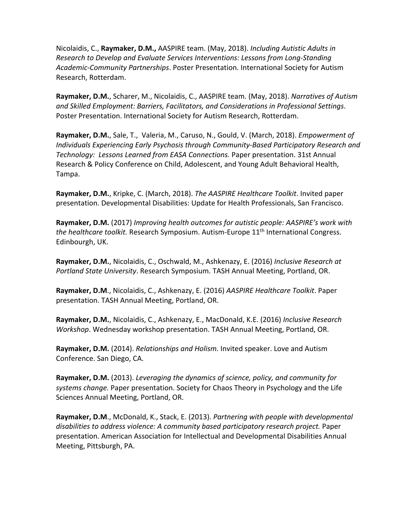Nicolaidis, C., **Raymaker, D.M.,** AASPIRE team. (May, 2018). *Including Autistic Adults in Research to Develop and Evaluate Services Interventions: Lessons from Long-Standing Academic-Community Partnerships*. Poster Presentation. International Society for Autism Research, Rotterdam.

**Raymaker, D.M.**, Scharer, M., Nicolaidis, C., AASPIRE team. (May, 2018). *Narratives of Autism and Skilled Employment: Barriers, Facilitators, and Considerations in Professional Settings*. Poster Presentation. International Society for Autism Research, Rotterdam.

**Raymaker, D.M.**, Sale, T., Valeria, M., Caruso, N., Gould, V. (March, 2018). *Empowerment of Individuals Experiencing Early Psychosis through Community-Based Participatory Research and Technology: Lessons Learned from EASA Connections.* Paper presentation. 31st Annual Research & Policy Conference on Child, Adolescent, and Young Adult Behavioral Health, Tampa.

**Raymaker, D.M.**, Kripke, C. (March, 2018). *The AASPIRE Healthcare Toolkit*. Invited paper presentation. Developmental Disabilities: Update for Health Professionals, San Francisco.

**Raymaker, D.M.** (2017) *Improving health outcomes for autistic people: AASPIRE's work with the healthcare toolkit.* Research Symposium. Autism-Europe 11<sup>th</sup> International Congress. Edinbourgh, UK.

**Raymaker, D.M.**, Nicolaidis, C., Oschwald, M., Ashkenazy, E. (2016) *Inclusive Research at Portland State University*. Research Symposium. TASH Annual Meeting, Portland, OR.

**Raymaker, D.M**., Nicolaidis, C., Ashkenazy, E. (2016) *AASPIRE Healthcare Toolkit*. Paper presentation. TASH Annual Meeting, Portland, OR.

**Raymaker, D.M.**, Nicolaidis, C., Ashkenazy, E., MacDonald, K.E. (2016) *Inclusive Research Workshop*. Wednesday workshop presentation. TASH Annual Meeting, Portland, OR.

**Raymaker, D.M.** (2014). *Relationships and Holism.* Invited speaker. Love and Autism Conference. San Diego, CA.

**Raymaker, D.M.** (2013). *Leveraging the dynamics of science, policy, and community for systems change.* Paper presentation. Society for Chaos Theory in Psychology and the Life Sciences Annual Meeting, Portland, OR.

**Raymaker, D.M**., McDonald, K., Stack, E. (2013). *Partnering with people with developmental disabilities to address violence: A community based participatory research project.* Paper presentation. American Association for Intellectual and Developmental Disabilities Annual Meeting, Pittsburgh, PA.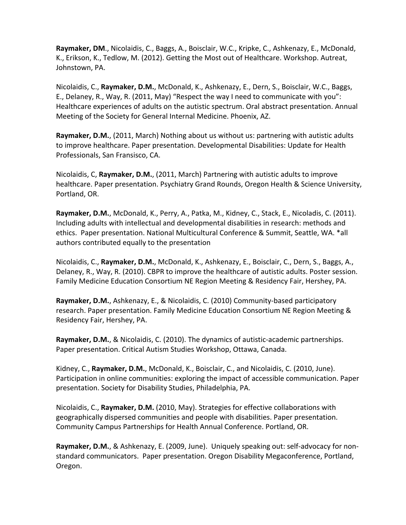**Raymaker, DM**., Nicolaidis, C., Baggs, A., Boisclair, W.C., Kripke, C., Ashkenazy, E., McDonald, K., Erikson, K., Tedlow, M. (2012). Getting the Most out of Healthcare. Workshop. Autreat, Johnstown, PA.

Nicolaidis, C., **Raymaker, D.M.**, McDonald, K., Ashkenazy, E., Dern, S., Boisclair, W.C., Baggs, E., Delaney, R., Way, R. (2011, May) "Respect the way I need to communicate with you": Healthcare experiences of adults on the autistic spectrum. Oral abstract presentation. Annual Meeting of the Society for General Internal Medicine. Phoenix, AZ.

**Raymaker, D.M.**, (2011, March) Nothing about us without us: partnering with autistic adults to improve healthcare. Paper presentation. Developmental Disabilities: Update for Health Professionals, San Fransisco, CA.

Nicolaidis, C, **Raymaker, D.M.**, (2011, March) Partnering with autistic adults to improve healthcare. Paper presentation. Psychiatry Grand Rounds, Oregon Health & Science University, Portland, OR.

**Raymaker, D.M.**, McDonald, K., Perry, A., Patka, M., Kidney, C., Stack, E., Nicoladis, C. (2011). Including adults with intellectual and developmental disabilities in research: methods and ethics. Paper presentation. National Multicultural Conference & Summit, Seattle, WA. \*all authors contributed equally to the presentation

Nicolaidis, C., **Raymaker, D.M.**, McDonald, K., Ashkenazy, E., Boisclair, C., Dern, S., Baggs, A., Delaney, R., Way, R. (2010). CBPR to improve the healthcare of autistic adults. Poster session. Family Medicine Education Consortium NE Region Meeting & Residency Fair, Hershey, PA.

**Raymaker, D.M.**, Ashkenazy, E., & Nicolaidis, C. (2010) Community-based participatory research. Paper presentation. Family Medicine Education Consortium NE Region Meeting & Residency Fair, Hershey, PA.

**Raymaker, D.M.**, & Nicolaidis, C. (2010). The dynamics of autistic-academic partnerships. Paper presentation. Critical Autism Studies Workshop, Ottawa, Canada.

Kidney, C., **Raymaker, D.M.**, McDonald, K., Boisclair, C., and Nicolaidis, C. (2010, June). Participation in online communities: exploring the impact of accessible communication. Paper presentation. Society for Disability Studies, Philadelphia, PA.

Nicolaidis, C., **Raymaker, D.M.** (2010, May). Strategies for effective collaborations with geographically dispersed communities and people with disabilities. Paper presentation. Community Campus Partnerships for Health Annual Conference. Portland, OR.

**Raymaker, D.M.**, & Ashkenazy, E. (2009, June). Uniquely speaking out: self-advocacy for nonstandard communicators. Paper presentation. Oregon Disability Megaconference, Portland, Oregon.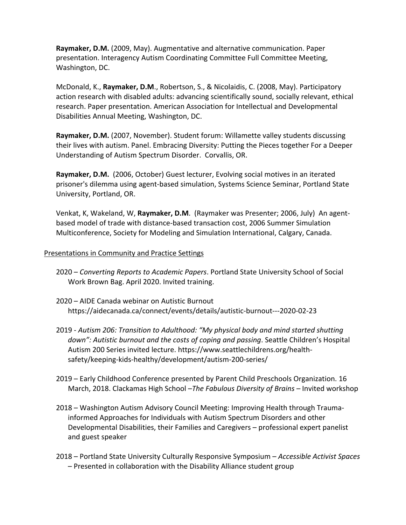**Raymaker, D.M.** (2009, May). Augmentative and alternative communication. Paper presentation. Interagency Autism Coordinating Committee Full Committee Meeting, Washington, DC.

McDonald, K., **Raymaker, D.M**., Robertson, S., & Nicolaidis, C. (2008, May). Participatory action research with disabled adults: advancing scientifically sound, socially relevant, ethical research. Paper presentation. American Association for Intellectual and Developmental Disabilities Annual Meeting, Washington, DC.

**Raymaker, D.M.** (2007, November). Student forum: Willamette valley students discussing their lives with autism. Panel. Embracing Diversity: Putting the Pieces together For a Deeper Understanding of Autism Spectrum Disorder. Corvallis, OR.

**Raymaker, D.M.** (2006, October) Guest lecturer, Evolving social motives in an iterated prisoner's dilemma using agent-based simulation, Systems Science Seminar, Portland State University, Portland, OR.

Venkat, K, Wakeland, W, **Raymaker, D.M**. (Raymaker was Presenter; 2006, July) An agentbased model of trade with distance-based transaction cost, 2006 Summer Simulation Multiconference, Society for Modeling and Simulation International, Calgary, Canada.

### Presentations in Community and Practice Settings

- 2020 *Converting Reports to Academic Papers*. Portland State University School of Social Work Brown Bag. April 2020. Invited training.
- 2020 AIDE Canada webinar on Autistic Burnout https://aidecanada.ca/connect/events/details/autistic-burnout---2020-02-23
- 2019 *Autism 206: Transition to Adulthood: "My physical body and mind started shutting down": Autistic burnout and the costs of coping and passing*. Seattle Children's Hospital Autism 200 Series invited lecture. https://www.seattlechildrens.org/healthsafety/keeping-kids-healthy/development/autism-200-series/
- 2019 Early Childhood Conference presented by Parent Child Preschools Organization. 16 March, 2018. Clackamas High School –*The Fabulous Diversity of Brains –* Invited workshop
- 2018 Washington Autism Advisory Council Meeting: Improving Health through Traumainformed Approaches for Individuals with Autism Spectrum Disorders and other Developmental Disabilities, their Families and Caregivers – professional expert panelist and guest speaker
- 2018 Portland State University Culturally Responsive Symposium *Accessible Activist Spaces* – Presented in collaboration with the Disability Alliance student group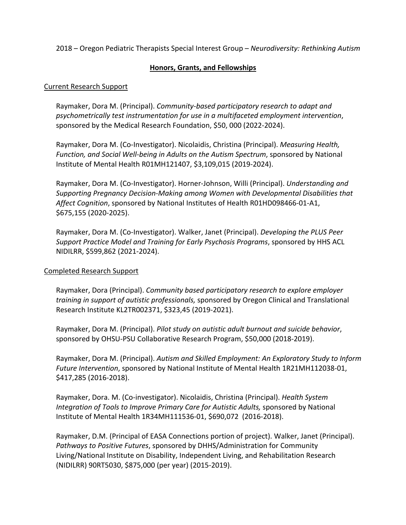2018 – Oregon Pediatric Therapists Special Interest Group – *Neurodiversity: Rethinking Autism*

# **Honors, Grants, and Fellowships**

### Current Research Support

Raymaker, Dora M. (Principal). *Community-based participatory research to adapt and psychometrically test instrumentation for use in a multifaceted employment intervention*, sponsored by the Medical Research Foundation, \$50, 000 (2022-2024).

Raymaker, Dora M. (Co-Investigator). Nicolaidis, Christina (Principal). *Measuring Health, Function, and Social Well-being in Adults on the Autism Spectrum*, sponsored by National Institute of Mental Health R01MH121407, \$3,109,015 (2019-2024).

Raymaker, Dora M. (Co-Investigator). Horner-Johnson, Willi (Principal). *Understanding and Supporting Pregnancy Decision-Making among Women with Developmental Disabilities that Affect Cognition*, sponsored by National Institutes of Health R01HD098466-01-A1, \$675,155 (2020-2025).

Raymaker, Dora M. (Co-Investigator). Walker, Janet (Principal). *Developing the PLUS Peer Support Practice Model and Training for Early Psychosis Programs*, sponsored by HHS ACL NIDILRR, \$599,862 (2021-2024).

# Completed Research Support

Raymaker, Dora (Principal). *Community based participatory research to explore employer training in support of autistic professionals,* sponsored by Oregon Clinical and Translational Research Institute KL2TR002371, \$323,45 (2019-2021).

Raymaker, Dora M. (Principal). *Pilot study on autistic adult burnout and suicide behavior*, sponsored by OHSU-PSU Collaborative Research Program, \$50,000 (2018-2019).

Raymaker, Dora M. (Principal). *Autism and Skilled Employment: An Exploratory Study to Inform Future Intervention*, sponsored by National Institute of Mental Health 1R21MH112038-01, \$417,285 (2016-2018).

Raymaker, Dora. M. (Co-investigator). Nicolaidis, Christina (Principal). *Health System Integration of Tools to Improve Primary Care for Autistic Adults,* sponsored by National Institute of Mental Health 1R34MH111536-01, \$690,072 (2016-2018).

Raymaker, D.M. (Principal of EASA Connections portion of project). Walker, Janet (Principal). *Pathways to Positive Futures*, sponsored by DHHS/Administration for Community Living/National Institute on Disability, Independent Living, and Rehabilitation Research (NIDILRR) 90RT5030, \$875,000 (per year) (2015-2019).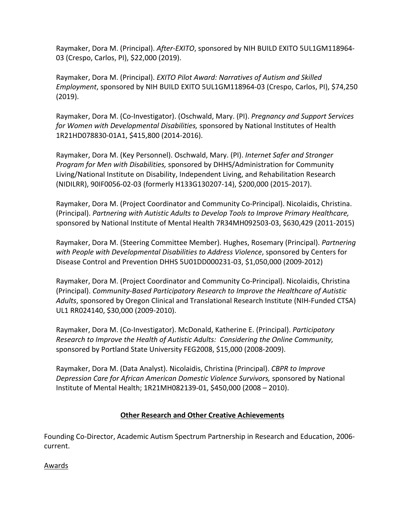Raymaker, Dora M. (Principal). *After-EXITO*, sponsored by NIH BUILD EXITO 5UL1GM118964- 03 (Crespo, Carlos, PI), \$22,000 (2019).

Raymaker, Dora M. (Principal). *EXITO Pilot Award: Narratives of Autism and Skilled Employment*, sponsored by NIH BUILD EXITO 5UL1GM118964-03 (Crespo, Carlos, PI), \$74,250 (2019).

Raymaker, Dora M. (Co-Investigator). (Oschwald, Mary. (PI). *Pregnancy and Support Services for Women with Developmental Disabilities,* sponsored by National Institutes of Health 1R21HD078830-01A1, \$415,800 (2014-2016).

Raymaker, Dora M. (Key Personnel). Oschwald, Mary. (PI). *Internet Safer and Stronger Program for Men with Disabilities,* sponsored by DHHS/Administration for Community Living/National Institute on Disability, Independent Living, and Rehabilitation Research (NIDILRR), 90IF0056-02-03 (formerly H133G130207-14), \$200,000 (2015-2017).

Raymaker, Dora M. (Project Coordinator and Community Co-Principal). Nicolaidis, Christina. (Principal). *Partnering with Autistic Adults to Develop Tools to Improve Primary Healthcare,*  sponsored by National Institute of Mental Health 7R34MH092503-03, \$630,429 (2011-2015)

Raymaker, Dora M. (Steering Committee Member). Hughes, Rosemary (Principal). *Partnering with People with Developmental Disabilities to Address Violence*, sponsored by Centers for Disease Control and Prevention DHHS 5U01DD000231-03, \$1,050,000 (2009-2012)

Raymaker, Dora M. (Project Coordinator and Community Co-Principal). Nicolaidis, Christina (Principal). *Community-Based Participatory Research to Improve the Healthcare of Autistic Adults*, sponsored by Oregon Clinical and Translational Research Institute (NIH-Funded CTSA) UL1 RR024140, \$30,000 (2009-2010).

Raymaker, Dora M. (Co-Investigator). McDonald, Katherine E. (Principal). *Participatory Research to Improve the Health of Autistic Adults: Considering the Online Community,*  sponsored by Portland State University FEG2008, \$15,000 (2008-2009).

Raymaker, Dora M. (Data Analyst). Nicolaidis, Christina (Principal). *CBPR to Improve Depression Care for African American Domestic Violence Survivors,* sponsored by National Institute of Mental Health; 1R21MH082139-01, \$450,000 (2008 – 2010).

# **Other Research and Other Creative Achievements**

Founding Co-Director, Academic Autism Spectrum Partnership in Research and Education, 2006 current.

Awards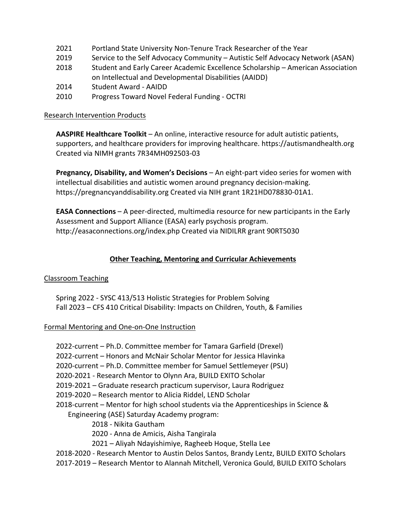- 2021 Portland State University Non-Tenure Track Researcher of the Year
- 2019 Service to the Self Advocacy Community Autistic Self Advocacy Network (ASAN)
- 2018 Student and Early Career Academic Excellence Scholarship American Association on Intellectual and Developmental Disabilities (AAIDD)
- 2014 Student Award AAIDD
- 2010 Progress Toward Novel Federal Funding OCTRI

### Research Intervention Products

**AASPIRE Healthcare Toolkit** – An online, interactive resource for adult autistic patients, supporters, and healthcare providers for improving healthcare. https://autismandhealth.org Created via NIMH grants 7R34MH092503-03

**Pregnancy, Disability, and Women's Decisions** – An eight-part video series for women with intellectual disabilities and autistic women around pregnancy decision-making. https://pregnancyanddisability.org Created via NIH grant 1R21HD078830-01A1.

**EASA Connections** – A peer-directed, multimedia resource for new participants in the Early Assessment and Support Alliance (EASA) early psychosis program. http://easaconnections.org/index.php Created via NIDILRR grant 90RT5030

## **Other Teaching, Mentoring and Curricular Achievements**

### Classroom Teaching

Spring 2022 - SYSC 413/513 Holistic Strategies for Problem Solving Fall 2023 – CFS 410 Critical Disability: Impacts on Children, Youth, & Families

### Formal Mentoring and One-on-One Instruction

2022-current – Ph.D. Committee member for Tamara Garfield (Drexel) 2022-current – Honors and McNair Scholar Mentor for Jessica Hlavinka 2020-current – Ph.D. Committee member for Samuel Settlemeyer (PSU) 2020-2021 - Research Mentor to Olynn Ara, BUILD EXITO Scholar 2019-2021 – Graduate research practicum supervisor, Laura Rodriguez 2019-2020 – Research mentor to Alicia Riddel, LEND Scholar 2018-current – Mentor for high school students via the Apprenticeships in Science & Engineering (ASE) Saturday Academy program: 2018 - Nikita Gautham 2020 - Anna de Amicis, Aisha Tangirala 2021 – Aliyah Ndayishimiye, Ragheeb Hoque, Stella Lee 2018-2020 - Research Mentor to Austin Delos Santos, Brandy Lentz, BUILD EXITO Scholars 2017-2019 – Research Mentor to Alannah Mitchell, Veronica Gould, BUILD EXITO Scholars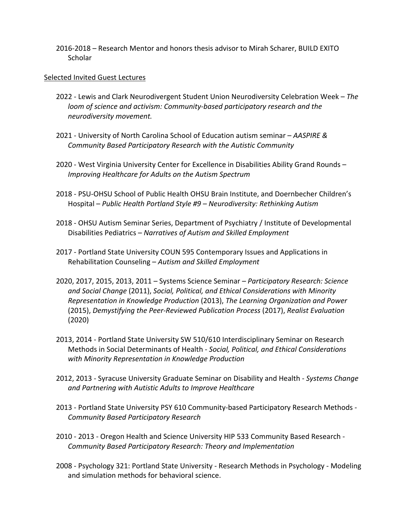2016-2018 – Research Mentor and honors thesis advisor to Mirah Scharer, BUILD EXITO **Scholar** 

#### Selected Invited Guest Lectures

- 2022 Lewis and Clark Neurodivergent Student Union Neurodiversity Celebration Week *The loom of science and activism: Community-based participatory research and the neurodiversity movement.*
- 2021 University of North Carolina School of Education autism seminar *AASPIRE & Community Based Participatory Research with the Autistic Community*
- 2020 West Virginia University Center for Excellence in Disabilities Ability Grand Rounds *Improving Healthcare for Adults on the Autism Spectrum*
- 2018 PSU-OHSU School of Public Health OHSU Brain Institute, and Doernbecher Children's Hospital – *Public Health Portland Style #9 – Neurodiversity: Rethinking Autism*
- 2018 OHSU Autism Seminar Series, Department of Psychiatry / Institute of Developmental Disabilities Pediatrics – *Narratives of Autism and Skilled Employment*
- 2017 Portland State University COUN 595 Contemporary Issues and Applications in Rehabilitation Counseling – *Autism and Skilled Employment*
- 2020, 2017, 2015, 2013, 2011 Systems Science Seminar *Participatory Research: Science and Social Change* (2011), *Social, Political, and Ethical Considerations with Minority Representation in Knowledge Production* (2013), *The Learning Organization and Power* (2015), *Demystifying the Peer-Reviewed Publication Process* (2017), *Realist Evaluation*  (2020)
- 2013, 2014 Portland State University SW 510/610 Interdisciplinary Seminar on Research Methods in Social Determinants of Health - *Social, Political, and Ethical Considerations with Minority Representation in Knowledge Production*
- 2012, 2013 Syracuse University Graduate Seminar on Disability and Health *Systems Change and Partnering with Autistic Adults to Improve Healthcare*
- 2013 Portland State University PSY 610 Community-based Participatory Research Methods *Community Based Participatory Research*
- 2010 2013 Oregon Health and Science University HIP 533 Community Based Research *Community Based Participatory Research: Theory and Implementation*
- 2008 Psychology 321: Portland State University Research Methods in Psychology Modeling and simulation methods for behavioral science.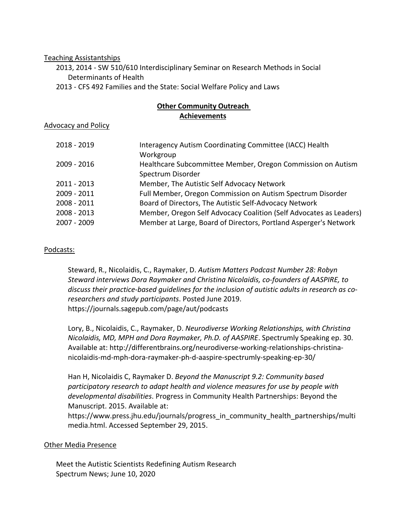#### Teaching Assistantships

2013, 2014 - SW 510/610 Interdisciplinary Seminar on Research Methods in Social Determinants of Health

2013 - CFS 492 Families and the State: Social Welfare Policy and Laws

### **Other Community Outreach Achievements**

Advocacy and Policy

| 2018 - 2019 | Interagency Autism Coordinating Committee (IACC) Health            |
|-------------|--------------------------------------------------------------------|
|             | Workgroup                                                          |
| 2009 - 2016 | Healthcare Subcommittee Member, Oregon Commission on Autism        |
|             | Spectrum Disorder                                                  |
| 2011 - 2013 | Member, The Autistic Self Advocacy Network                         |
| 2009 - 2011 | Full Member, Oregon Commission on Autism Spectrum Disorder         |
| 2008 - 2011 | Board of Directors, The Autistic Self-Advocacy Network             |
| 2008 - 2013 | Member, Oregon Self Advocacy Coalition (Self Advocates as Leaders) |
| 2007 - 2009 | Member at Large, Board of Directors, Portland Asperger's Network   |

### Podcasts:

Steward, R., Nicolaidis, C., Raymaker, D. *Autism Matters Podcast Number 28: Robyn Steward interviews Dora Raymaker and Christina Nicolaidis, co-founders of AASPIRE, to discuss their practice-based guidelines for the inclusion of autistic adults in research as coresearchers and study participants*. Posted June 2019. https://journals.sagepub.com/page/aut/podcasts

Lory, B., Nicolaidis, C., Raymaker, D. *Neurodiverse Working Relationships, with Christina Nicolaidis, MD, MPH and Dora Raymaker, Ph.D. of AASPIRE*. Spectrumly Speaking ep. 30. Available at: http://differentbrains.org/neurodiverse-working-relationships-christinanicolaidis-md-mph-dora-raymaker-ph-d-aaspire-spectrumly-speaking-ep-30/

Han H, Nicolaidis C, Raymaker D. *Beyond the Manuscript 9.2: Community based participatory research to adapt health and violence measures for use by people with developmental disabilities*. Progress in Community Health Partnerships: Beyond the Manuscript. 2015. Available at:

https://www.press.jhu.edu/journals/progress\_in\_community\_health\_partnerships/multi media.html. Accessed September 29, 2015.

# Other Media Presence

Meet the Autistic Scientists Redefining Autism Research Spectrum News; June 10, 2020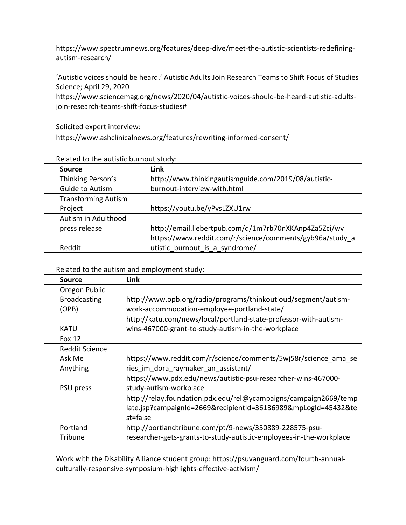https://www.spectrumnews.org/features/deep-dive/meet-the-autistic-scientists-redefiningautism-research/

'Autistic voices should be heard.' Autistic Adults Join Research Teams to Shift Focus of Studies Science; April 29, 2020

https://www.sciencemag.org/news/2020/04/autistic-voices-should-be-heard-autistic-adultsjoin-research-teams-shift-focus-studies#

Solicited expert interview:

https://www.ashclinicalnews.org/features/rewriting-informed-consent/

| nciated to the addistic barnout staay. |                                                          |  |
|----------------------------------------|----------------------------------------------------------|--|
| <b>Source</b>                          | Link                                                     |  |
| Thinking Person's                      | http://www.thinkingautismguide.com/2019/08/autistic-     |  |
| Guide to Autism                        | burnout-interview-with.html                              |  |
| <b>Transforming Autism</b>             |                                                          |  |
| Project                                | https://youtu.be/yPvsLZXU1rw                             |  |
| Autism in Adulthood                    |                                                          |  |
| press release                          | http://email.liebertpub.com/q/1m7rb70nXKAnp4Za5Zci/wv    |  |
|                                        | https://www.reddit.com/r/science/comments/gyb96a/study a |  |
| Reddit                                 | utistic burnout is a syndrome/                           |  |

Related to the autistic burnout study:

Related to the autism and employment study:

| Source                | <b>Link</b>                                                         |
|-----------------------|---------------------------------------------------------------------|
| Oregon Public         |                                                                     |
| <b>Broadcasting</b>   | http://www.opb.org/radio/programs/thinkoutloud/segment/autism-      |
| (OPB)                 | work-accommodation-employee-portland-state/                         |
|                       | http://katu.com/news/local/portland-state-professor-with-autism-    |
| KATU                  | wins-467000-grant-to-study-autism-in-the-workplace                  |
| <b>Fox 12</b>         |                                                                     |
| <b>Reddit Science</b> |                                                                     |
| Ask Me                | https://www.reddit.com/r/science/comments/5wj58r/science ama se     |
| Anything              | ries im dora raymaker an assistant/                                 |
|                       | https://www.pdx.edu/news/autistic-psu-researcher-wins-467000-       |
| PSU press             | study-autism-workplace                                              |
|                       | http://relay.foundation.pdx.edu/rel@ycampaigns/campaign2669/temp    |
|                       | late.jsp?campaignId=2669&recipientId=36136989&mpLogId=45432&te      |
|                       | st=false                                                            |
| Portland              | http://portlandtribune.com/pt/9-news/350889-228575-psu-             |
| Tribune               | researcher-gets-grants-to-study-autistic-employees-in-the-workplace |

Work with the Disability Alliance student group: https://psuvanguard.com/fourth-annualculturally-responsive-symposium-highlights-effective-activism/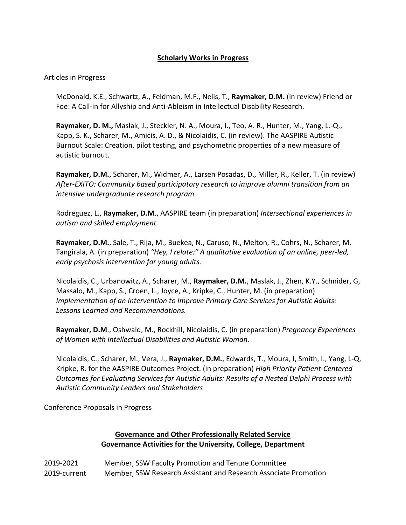## **Scholarly Works in Progress**

#### Articles in Progress

McDonald, K.E., Schwartz, A., Feldman, M.F., Nelis, T., **Raymaker, D.M.** (in review) Friend or Foe: A Call-in for Allyship and Anti-Ableism in Intellectual Disability Research.

**Raymaker, D. M.,** Maslak, J., Steckler, N. A., Moura, I., Teo, A. R., Hunter, M., Yang, L.-Q., Kapp, S. K., Scharer, M., Amicis, A. D., & Nicolaidis, C. (in review). The AASPIRE Autistic Burnout Scale: Creation, pilot testing, and psychometric properties of a new measure of autistic burnout.

**Raymaker, D.M.**, Scharer, M., Widmer, A., Larsen Posadas, D., Miller, R., Keller, T. (in review) *After-EXITO: Community based participatory research to improve alumni transition from an intensive undergraduate research program*

Rodreguez, L., **Raymaker, D.M**., AASPIRE team (in preparation) *Intersectional experiences in autism and skilled employment.*

**Raymaker, D.M.**, Sale, T., Rija, M., Buekea, N., Caruso, N., Melton, R., Cohrs, N., Scharer, M. Tangirala, A. (in preparation) *"Hey, I relate:" A qualitative evaluation of an online, peer-led, early psychosis intervention for young adults.*

Nicolaidis, C., Urbanowitz, A., Scharer, M., **Raymaker, D.M.**, Maslak, J., Zhen, K.Y., Schnider, G, Massalo, M., Kapp, S., Croen, L., Joyce, A., Kripke, C., Hunter, M. (in preparation) *Implementation of an Intervention to Improve Primary Care Services for Autistic Adults: Lessons Learned and Recommendations.*

**Raymaker, D.M**., Oshwald, M., Rockhill, Nicolaidis, C. (in preparation) *Pregnancy Experiences of Women with Intellectual Disabilities and Autistic Woman.*

Nicolaidis, C., Scharer, M., Vera, J., **Raymaker, D.M.**, Edwards, T., Moura, I, Smith, I., Yang, L-Q, Kripke, R. for the AASPIRE Outcomes Project. (in preparation) *High Priority Patient-Centered Outcomes for Evaluating Services for Autistic Adults: Results of a Nested Delphi Process with Autistic Community Leaders and Stakeholders*

### Conference Proposals in Progress

# **Governance and Other Professionally Related Service Governance Activities for the University, College, Department**

2019-2021 Member, SSW Faculty Promotion and Tenure Committee 2019-current Member, SSW Research Assistant and Research Associate Promotion